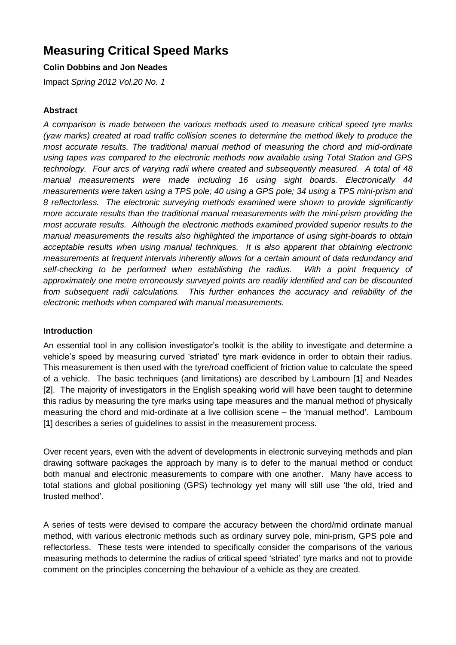# **Measuring Critical Speed Marks**

#### **Colin Dobbins and Jon Neades**

Impact *Spring 2012 Vol.20 No. 1*

#### **Abstract**

*A comparison is made between the various methods used to measure critical speed tyre marks (yaw marks) created at road traffic collision scenes to determine the method likely to produce the most accurate results. The traditional manual method of measuring the chord and mid-ordinate using tapes was compared to the electronic methods now available using Total Station and GPS technology. Four arcs of varying radii where created and subsequently measured. A total of 48 manual measurements were made including 16 using sight boards. Electronically 44 measurements were taken using a TPS pole; 40 using a GPS pole; 34 using a TPS mini-prism and 8 reflectorless. The electronic surveying methods examined were shown to provide significantly more accurate results than the traditional manual measurements with the mini-prism providing the most accurate results. Although the electronic methods examined provided superior results to the manual measurements the results also highlighted the importance of using sight-boards to obtain acceptable results when using manual techniques. It is also apparent that obtaining electronic measurements at frequent intervals inherently allows for a certain amount of data redundancy and self-checking to be performed when establishing the radius. With a point frequency of approximately one metre erroneously surveyed points are readily identified and can be discounted from subsequent radii calculations. This further enhances the accuracy and reliability of the electronic methods when compared with manual measurements.* 

#### **Introduction**

An essential tool in any collision investigator's toolkit is the ability to investigate and determine a vehicle's speed by measuring curved 'striated' tyre mark evidence in order to obtain their radius. This measurement is then used with the tyre/road coefficient of friction value to calculate the speed of a vehicle. The basic techniques (and limitations) are described by Lambourn [**1**] and Neades [**2**]. The majority of investigators in the English speaking world will have been taught to determine this radius by measuring the tyre marks using tape measures and the manual method of physically measuring the chord and mid-ordinate at a live collision scene – the 'manual method'. Lambourn [1] describes a series of quidelines to assist in the measurement process.

Over recent years, even with the advent of developments in electronic surveying methods and plan drawing software packages the approach by many is to defer to the manual method or conduct both manual and electronic measurements to compare with one another. Many have access to total stations and global positioning (GPS) technology yet many will still use 'the old, tried and trusted method'.

A series of tests were devised to compare the accuracy between the chord/mid ordinate manual method, with various electronic methods such as ordinary survey pole, mini-prism, GPS pole and reflectorless. These tests were intended to specifically consider the comparisons of the various measuring methods to determine the radius of critical speed 'striated' tyre marks and not to provide comment on the principles concerning the behaviour of a vehicle as they are created.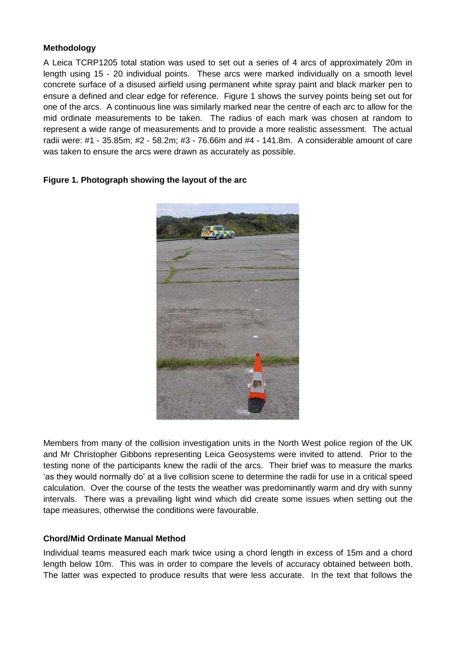#### **Methodology**

A Leica TCRP1205 total station was used to set out a series of 4 arcs of approximately 20m in length using 15 - 20 individual points. These arcs were marked individually on a smooth level concrete surface of a disused airfield using permanent white spray paint and black marker pen to ensure a defined and clear edge for reference. Figure 1 shows the survey points being set out for one of the arcs. A continuous line was similarly marked near the centre of each arc to allow for the mid ordinate measurements to be taken. The radius of each mark was chosen at random to represent a wide range of measurements and to provide a more realistic assessment. The actual radii were: #1 - 35.85m; #2 - 58.2m; #3 - 76.66m and #4 - 141.8m. A considerable amount of care was taken to ensure the arcs were drawn as accurately as possible.



#### **Figure 1. Photograph showing the layout of the arc**

Members from many of the collision investigation units in the North West police region of the UK and Mr Christopher Gibbons representing Leica Geosystems were invited to attend. Prior to the testing none of the participants knew the radii of the arcs. Their brief was to measure the marks 'as they would normally do' at a live collision scene to determine the radii for use in a critical speed calculation. Over the course of the tests the weather was predominantly warm and dry with sunny intervals. There was a prevailing light wind which did create some issues when setting out the tape measures, otherwise the conditions were favourable.

#### **Chord/Mid Ordinate Manual Method**

Individual teams measured each mark twice using a chord length in excess of 15m and a chord length below 10m. This was in order to compare the levels of accuracy obtained between both. The latter was expected to produce results that were less accurate. In the text that follows the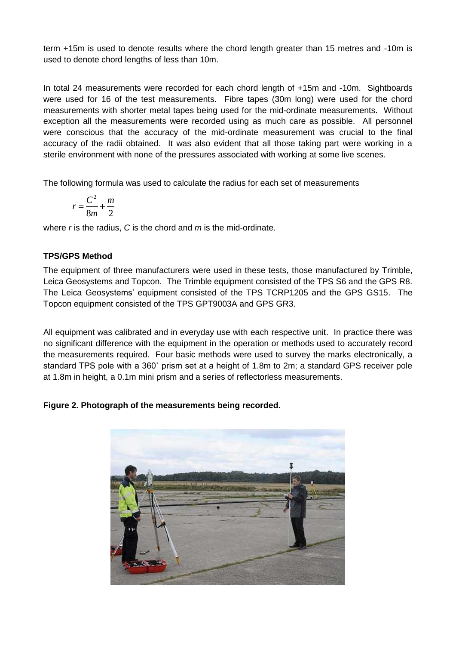term +15m is used to denote results where the chord length greater than 15 metres and -10m is used to denote chord lengths of less than 10m.

In total 24 measurements were recorded for each chord length of +15m and -10m. Sightboards were used for 16 of the test measurements. Fibre tapes (30m long) were used for the chord measurements with shorter metal tapes being used for the mid-ordinate measurements. Without exception all the measurements were recorded using as much care as possible. All personnel were conscious that the accuracy of the mid-ordinate measurement was crucial to the final accuracy of the radii obtained. It was also evident that all those taking part were working in a sterile environment with none of the pressures associated with working at some live scenes.

The following formula was used to calculate the radius for each set of measurements

$$
r = \frac{C^2}{8m} + \frac{m}{2}
$$

where *r* is the radius, *C* is the chord and *m* is the mid-ordinate.

#### **TPS/GPS Method**

The equipment of three manufacturers were used in these tests, those manufactured by Trimble, Leica Geosystems and Topcon. The Trimble equipment consisted of the TPS S6 and the GPS R8. The Leica Geosystems' equipment consisted of the TPS TCRP1205 and the GPS GS15. The Topcon equipment consisted of the TPS GPT9003A and GPS GR3.

All equipment was calibrated and in everyday use with each respective unit. In practice there was no significant difference with the equipment in the operation or methods used to accurately record the measurements required. Four basic methods were used to survey the marks electronically, a standard TPS pole with a 360˚ prism set at a height of 1.8m to 2m; a standard GPS receiver pole at 1.8m in height, a 0.1m mini prism and a series of reflectorless measurements.

**Figure 2. Photograph of the measurements being recorded.** 

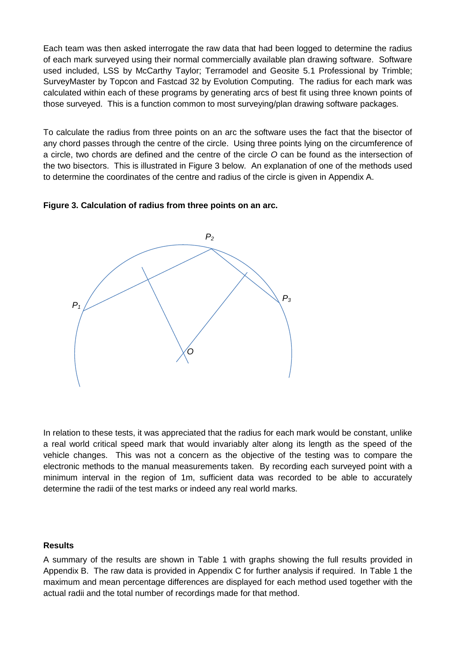Each team was then asked interrogate the raw data that had been logged to determine the radius of each mark surveyed using their normal commercially available plan drawing software. Software used included, LSS by McCarthy Taylor; Terramodel and Geosite 5.1 Professional by Trimble; SurveyMaster by Topcon and Fastcad 32 by Evolution Computing. The radius for each mark was calculated within each of these programs by generating arcs of best fit using three known points of those surveyed. This is a function common to most surveying/plan drawing software packages.

To calculate the radius from three points on an arc the software uses the fact that the bisector of any chord passes through the centre of the circle. Using three points lying on the circumference of a circle, two chords are defined and the centre of the circle *O* can be found as the intersection of the two bisectors. This is illustrated in Figure 3 below. An explanation of one of the methods used to determine the coordinates of the centre and radius of the circle is given in Appendix A.





In relation to these tests, it was appreciated that the radius for each mark would be constant, unlike a real world critical speed mark that would invariably alter along its length as the speed of the vehicle changes. This was not a concern as the objective of the testing was to compare the electronic methods to the manual measurements taken. By recording each surveyed point with a minimum interval in the region of 1m, sufficient data was recorded to be able to accurately determine the radii of the test marks or indeed any real world marks.

#### **Results**

A summary of the results are shown in Table 1 with graphs showing the full results provided in Appendix B. The raw data is provided in Appendix C for further analysis if required. In Table 1 the maximum and mean percentage differences are displayed for each method used together with the actual radii and the total number of recordings made for that method.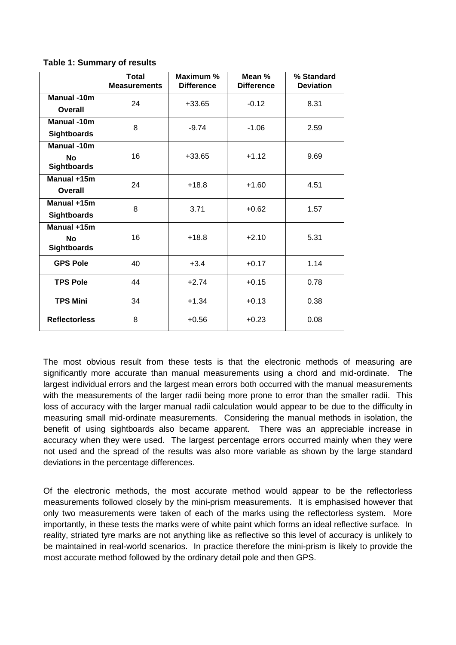|                                                       | <b>Total</b><br><b>Measurements</b> | Maximum %<br><b>Difference</b> | Mean %<br><b>Difference</b> | % Standard<br><b>Deviation</b> |
|-------------------------------------------------------|-------------------------------------|--------------------------------|-----------------------------|--------------------------------|
| <b>Manual-10m</b><br>Overall                          | 24                                  | $+33.65$                       | $-0.12$                     | 8.31                           |
| <b>Manual -10m</b><br><b>Sightboards</b>              | 8                                   | $-9.74$<br>$-1.06$             |                             | 2.59                           |
| <b>Manual -10m</b><br><b>No</b><br><b>Sightboards</b> | 16                                  | $+33.65$                       | $+1.12$                     | 9.69                           |
| Manual +15m<br>Overall                                | 24                                  | $+18.8$                        | $+1.60$                     | 4.51                           |
| Manual +15m<br><b>Sightboards</b>                     | 8                                   | 3.71                           | $+0.62$                     | 1.57                           |
| Manual +15m<br><b>No</b><br><b>Sightboards</b>        | 16                                  | $+18.8$                        | $+2.10$                     | 5.31                           |
| <b>GPS Pole</b>                                       | 40                                  | $+3.4$                         | $+0.17$                     | 1.14                           |
| <b>TPS Pole</b>                                       | 44                                  | $+2.74$                        | $+0.15$                     | 0.78                           |
| <b>TPS Mini</b>                                       | 34                                  | $+1.34$                        | $+0.13$                     | 0.38                           |
| <b>Reflectorless</b>                                  | 8                                   | $+0.56$                        | $+0.23$<br>0.08             |                                |

**Table 1: Summary of results**

The most obvious result from these tests is that the electronic methods of measuring are significantly more accurate than manual measurements using a chord and mid-ordinate. The largest individual errors and the largest mean errors both occurred with the manual measurements with the measurements of the larger radii being more prone to error than the smaller radii. This loss of accuracy with the larger manual radii calculation would appear to be due to the difficulty in measuring small mid-ordinate measurements. Considering the manual methods in isolation, the benefit of using sightboards also became apparent. There was an appreciable increase in accuracy when they were used. The largest percentage errors occurred mainly when they were not used and the spread of the results was also more variable as shown by the large standard deviations in the percentage differences.

Of the electronic methods, the most accurate method would appear to be the reflectorless measurements followed closely by the mini-prism measurements. It is emphasised however that only two measurements were taken of each of the marks using the reflectorless system. More importantly, in these tests the marks were of white paint which forms an ideal reflective surface. In reality, striated tyre marks are not anything like as reflective so this level of accuracy is unlikely to be maintained in real-world scenarios. In practice therefore the mini-prism is likely to provide the most accurate method followed by the ordinary detail pole and then GPS.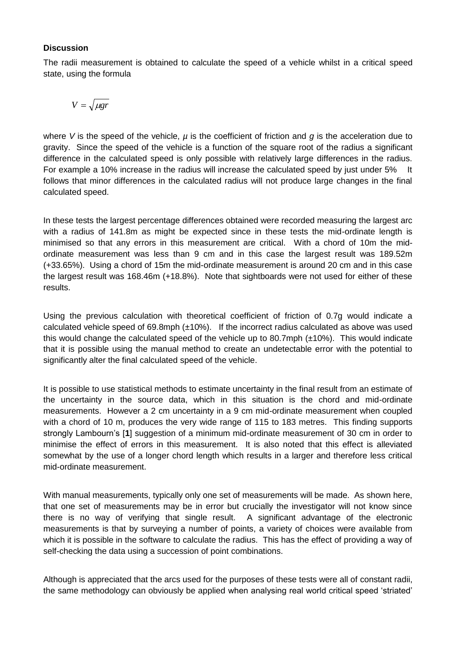#### **Discussion**

The radii measurement is obtained to calculate the speed of a vehicle whilst in a critical speed state, using the formula

$$
V = \sqrt{\mu gr}
$$

where V is the speed of the vehicle,  $\mu$  is the coefficient of friction and g is the acceleration due to gravity. Since the speed of the vehicle is a function of the square root of the radius a significant difference in the calculated speed is only possible with relatively large differences in the radius. For example a 10% increase in the radius will increase the calculated speed by just under 5% It follows that minor differences in the calculated radius will not produce large changes in the final calculated speed.

In these tests the largest percentage differences obtained were recorded measuring the largest arc with a radius of 141.8m as might be expected since in these tests the mid-ordinate length is minimised so that any errors in this measurement are critical. With a chord of 10m the midordinate measurement was less than 9 cm and in this case the largest result was 189.52m (+33.65%). Using a chord of 15m the mid-ordinate measurement is around 20 cm and in this case the largest result was 168.46m (+18.8%). Note that sightboards were not used for either of these results.

Using the previous calculation with theoretical coefficient of friction of 0.7g would indicate a calculated vehicle speed of 69.8mph  $(\pm 10\%)$ . If the incorrect radius calculated as above was used this would change the calculated speed of the vehicle up to 80.7mph  $(\pm 10\%)$ . This would indicate that it is possible using the manual method to create an undetectable error with the potential to significantly alter the final calculated speed of the vehicle.

It is possible to use statistical methods to estimate uncertainty in the final result from an estimate of the uncertainty in the source data, which in this situation is the chord and mid-ordinate measurements. However a 2 cm uncertainty in a 9 cm mid-ordinate measurement when coupled with a chord of 10 m, produces the very wide range of 115 to 183 metres. This finding supports strongly Lambourn's [**1**] suggestion of a minimum mid-ordinate measurement of 30 cm in order to minimise the effect of errors in this measurement. It is also noted that this effect is alleviated somewhat by the use of a longer chord length which results in a larger and therefore less critical mid-ordinate measurement.

With manual measurements, typically only one set of measurements will be made. As shown here, that one set of measurements may be in error but crucially the investigator will not know since there is no way of verifying that single result. A significant advantage of the electronic measurements is that by surveying a number of points, a variety of choices were available from which it is possible in the software to calculate the radius. This has the effect of providing a way of self-checking the data using a succession of point combinations.

Although is appreciated that the arcs used for the purposes of these tests were all of constant radii, the same methodology can obviously be applied when analysing real world critical speed 'striated'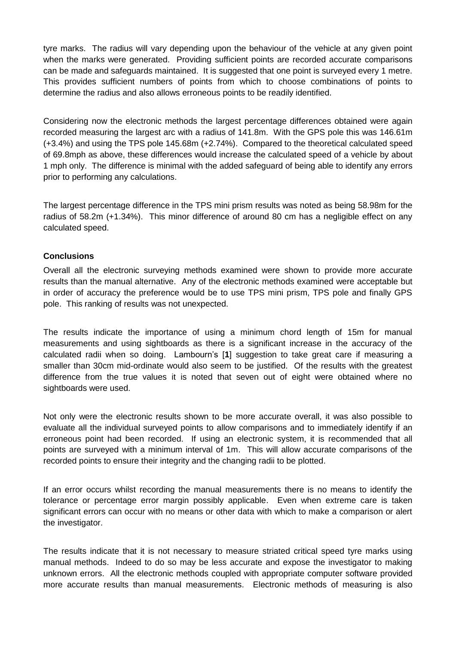tyre marks. The radius will vary depending upon the behaviour of the vehicle at any given point when the marks were generated. Providing sufficient points are recorded accurate comparisons can be made and safeguards maintained. It is suggested that one point is surveyed every 1 metre. This provides sufficient numbers of points from which to choose combinations of points to determine the radius and also allows erroneous points to be readily identified.

Considering now the electronic methods the largest percentage differences obtained were again recorded measuring the largest arc with a radius of 141.8m. With the GPS pole this was 146.61m (+3.4%) and using the TPS pole 145.68m (+2.74%). Compared to the theoretical calculated speed of 69.8mph as above, these differences would increase the calculated speed of a vehicle by about 1 mph only. The difference is minimal with the added safeguard of being able to identify any errors prior to performing any calculations.

The largest percentage difference in the TPS mini prism results was noted as being 58.98m for the radius of 58.2m (+1.34%). This minor difference of around 80 cm has a negligible effect on any calculated speed.

#### **Conclusions**

Overall all the electronic surveying methods examined were shown to provide more accurate results than the manual alternative. Any of the electronic methods examined were acceptable but in order of accuracy the preference would be to use TPS mini prism, TPS pole and finally GPS pole. This ranking of results was not unexpected.

The results indicate the importance of using a minimum chord length of 15m for manual measurements and using sightboards as there is a significant increase in the accuracy of the calculated radii when so doing. Lambourn's [**1**] suggestion to take great care if measuring a smaller than 30cm mid-ordinate would also seem to be justified. Of the results with the greatest difference from the true values it is noted that seven out of eight were obtained where no sightboards were used.

Not only were the electronic results shown to be more accurate overall, it was also possible to evaluate all the individual surveyed points to allow comparisons and to immediately identify if an erroneous point had been recorded. If using an electronic system, it is recommended that all points are surveyed with a minimum interval of 1m. This will allow accurate comparisons of the recorded points to ensure their integrity and the changing radii to be plotted.

If an error occurs whilst recording the manual measurements there is no means to identify the tolerance or percentage error margin possibly applicable. Even when extreme care is taken significant errors can occur with no means or other data with which to make a comparison or alert the investigator.

The results indicate that it is not necessary to measure striated critical speed tyre marks using manual methods. Indeed to do so may be less accurate and expose the investigator to making unknown errors. All the electronic methods coupled with appropriate computer software provided more accurate results than manual measurements. Electronic methods of measuring is also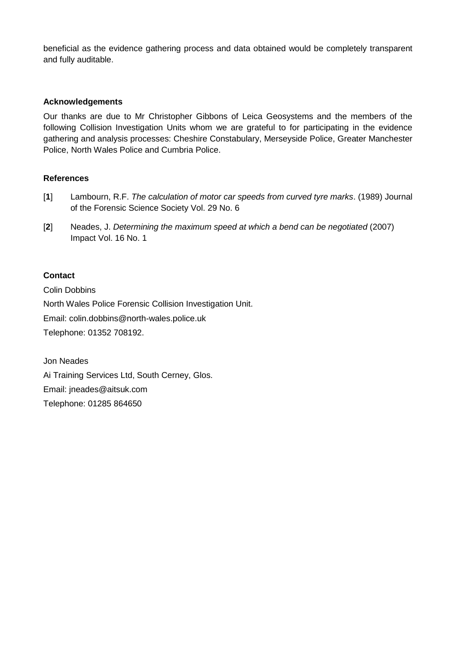beneficial as the evidence gathering process and data obtained would be completely transparent and fully auditable.

#### **Acknowledgements**

Our thanks are due to Mr Christopher Gibbons of Leica Geosystems and the members of the following Collision Investigation Units whom we are grateful to for participating in the evidence gathering and analysis processes: Cheshire Constabulary, Merseyside Police, Greater Manchester Police, North Wales Police and Cumbria Police.

#### **References**

- [**1**] Lambourn, R.F. *The calculation of motor car speeds from curved tyre marks*. (1989) Journal of the Forensic Science Society Vol. 29 No. 6
- [**2**] Neades, J. *Determining the maximum speed at which a bend can be negotiated* (2007) Impact Vol. 16 No. 1

#### **Contact**

Colin Dobbins North Wales Police Forensic Collision Investigation Unit. Email: colin.dobbins@north-wales.police.uk Telephone: 01352 708192.

Jon Neades Ai Training Services Ltd, South Cerney, Glos. Email: jneades@aitsuk.com Telephone: 01285 864650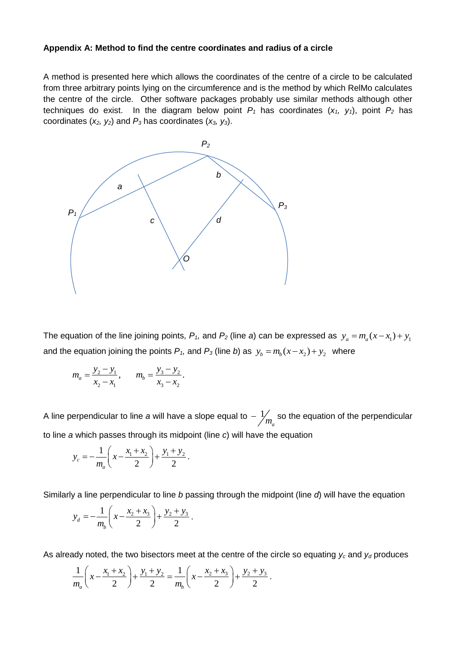#### **Appendix A: Method to find the centre coordinates and radius of a circle**

A method is presented here which allows the coordinates of the centre of a circle to be calculated from three arbitrary points lying on the circumference and is the method by which RelMo calculates the centre of the circle. Other software packages probably use similar methods although other techniques do exist. In the diagram below point  $P_1$  has coordinates  $(x_1, y_1)$ , point  $P_2$  has coordinates (*x2, y2*) and *P<sup>3</sup>* has coordinates (*x3, y3*).



The equation of the line joining points,  $P_1$ , and  $P_2$  (line a) can be expressed as  $y_a = m_a(x - x_1) + y_1$ and the equation joining the points  $P_1$ , and  $P_3$  (line b) as  $y_b = m_b(x - x_2) + y_2$  where

$$
m_a = \frac{y_2 - y_1}{x_2 - x_1}, \qquad m_b = \frac{y_3 - y_2}{x_3 - x_2}.
$$

A line perpendicular to line *a* will have a slope equal to  $\frac{1}{2}$  $-\frac{1}{m_a}$  so the equation of the perpendicular to line *a* which passes through its midpoint (line *c*) will have the equation

$$
y_c = -\frac{1}{m_a} \left( x - \frac{x_1 + x_2}{2} \right) + \frac{y_1 + y_2}{2}.
$$

Similarly a line perpendicular to line *b* passing through the midpoint (line *d*) will have the equation<br>  $y = -\frac{1}{x} \left( r - \frac{x_2 + x_3}{x_2 + x_3} \right) + \frac{y_2 + y_3}{x_3}$ 

$$
y_d = -\frac{1}{m_b} \left( x - \frac{x_2 + x_3}{2} \right) + \frac{y_2 + y_3}{2}.
$$

As already noted, the two bisectors meet at the centre of the circle so equating 
$$
y_c
$$
 and  $y_d$  produces\n
$$
\frac{1}{m_a}\left(x - \frac{x_1 + x_2}{2}\right) + \frac{y_1 + y_2}{2} = \frac{1}{m_b}\left(x - \frac{x_2 + x_3}{2}\right) + \frac{y_2 + y_3}{2}.
$$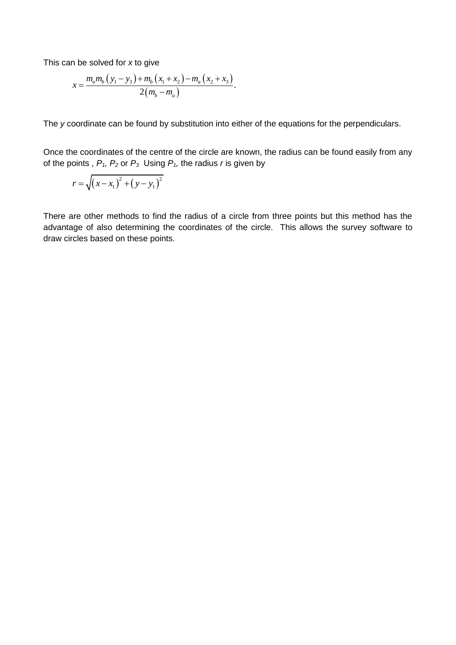This can be solved for x to give  
\n
$$
x = \frac{m_a m_b (y_1 - y_3) + m_b (x_1 + x_2) - m_a (x_2 + x_3)}{2(m_b - m_a)}.
$$

The *y* coordinate can be found by substitution into either of the equations for the perpendiculars.

Once the coordinates of the centre of the circle are known, the radius can be found easily from any of the points,  $P_1$ ,  $P_2$  or  $P_3$  Using  $P_1$ , the radius *r* is given by

$$
r = \sqrt{(x - x_1)^2 + (y - y_1)^2}
$$

There are other methods to find the radius of a circle from three points but this method has the advantage of also determining the coordinates of the circle. This allows the survey software to draw circles based on these points.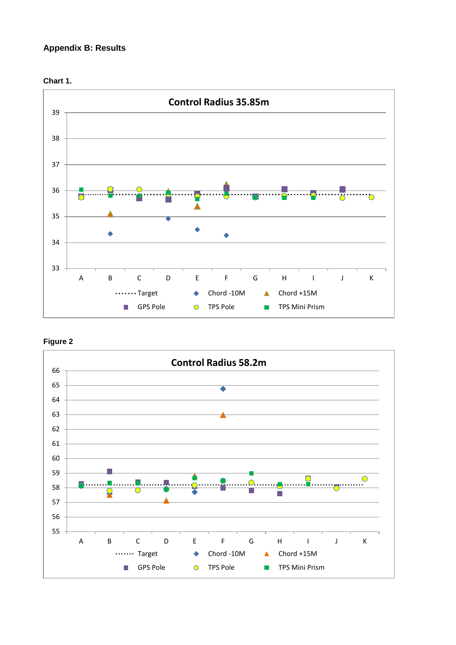## **Appendix B: Results**







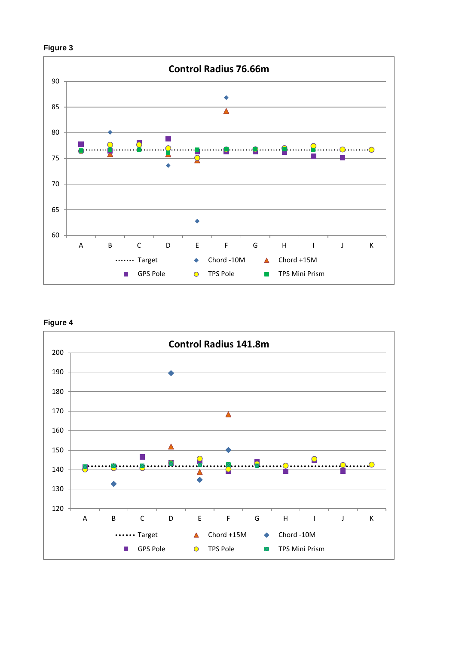





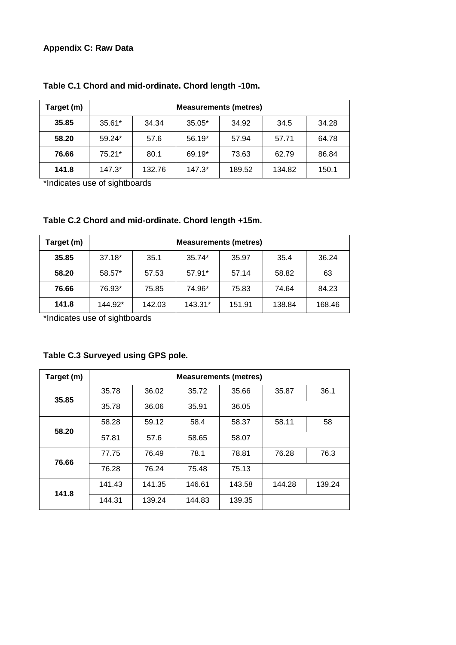## **Appendix C: Raw Data**

| Target (m) | <b>Measurements (metres)</b> |        |          |        |        |       |
|------------|------------------------------|--------|----------|--------|--------|-------|
| 35.85      | $35.61*$                     | 34.34  | $35.05*$ | 34.92  | 34.5   | 34.28 |
| 58.20      | $59.24*$                     | 57.6   | 56.19*   | 57.94  | 57.71  | 64.78 |
| 76.66      | 75.21*                       | 80.1   | 69.19*   | 73.63  | 62.79  | 86.84 |
| 141.8      | $147.3*$                     | 132.76 | $147.3*$ | 189.52 | 134.82 | 150.1 |

## **Table C.1 Chord and mid-ordinate. Chord length -10m.**

\*Indicates use of sightboards

## **Table C.2 Chord and mid-ordinate. Chord length +15m.**

| Target (m) | <b>Measurements (metres)</b> |        |         |        |        |        |
|------------|------------------------------|--------|---------|--------|--------|--------|
| 35.85      | $37.18*$                     | 35.1   | 35.74*  | 35.97  | 35.4   | 36.24  |
| 58.20      | 58.57*                       | 57.53  | 57.91*  | 57.14  | 58.82  | 63     |
| 76.66      | 76.93*                       | 75.85  | 74.96*  | 75.83  | 74.64  | 84.23  |
| 141.8      | 144.92*                      | 142.03 | 143.31* | 151.91 | 138.84 | 168.46 |

\*Indicates use of sightboards

## **Table C.3 Surveyed using GPS pole.**

| Target (m) | <b>Measurements (metres)</b> |        |        |        |        |        |
|------------|------------------------------|--------|--------|--------|--------|--------|
| 35.85      | 35.78                        | 36.02  | 35.72  | 35.66  | 35.87  | 36.1   |
|            | 35.78                        | 36.06  | 35.91  | 36.05  |        |        |
| 58.20      | 58.28                        | 59.12  | 58.4   | 58.37  | 58.11  | 58     |
|            | 57.81                        | 57.6   | 58.65  | 58.07  |        |        |
| 76.66      | 77.75                        | 76.49  | 78.1   | 78.81  | 76.28  | 76.3   |
|            | 76.28                        | 76.24  | 75.48  | 75.13  |        |        |
| 141.8      | 141.43                       | 141.35 | 146.61 | 143.58 | 144.28 | 139.24 |
|            | 144.31                       | 139.24 | 144.83 | 139.35 |        |        |